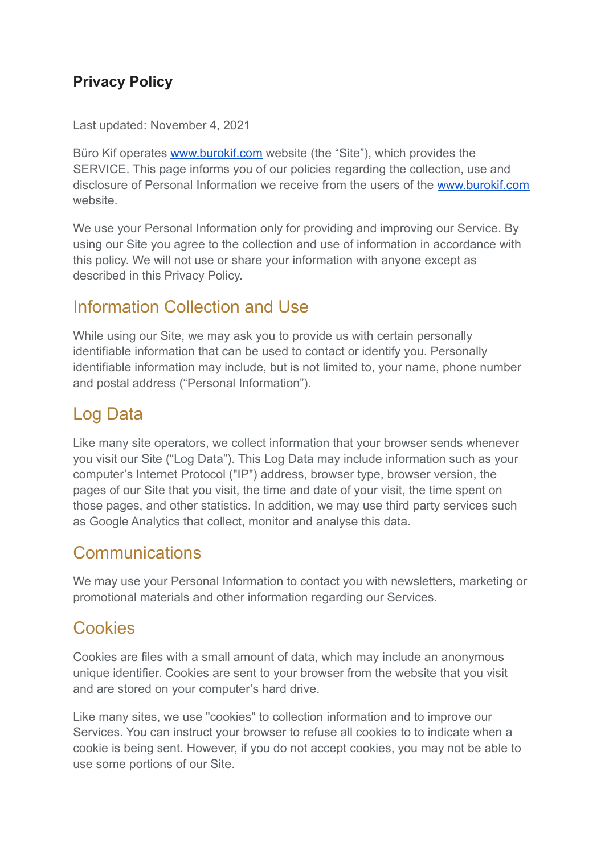#### **Privacy Policy**

Last updated: November 4, 2021

Büro Kif operates [www.burokif.com](http://www.burokif.com/) website (the "Site"), which provides the SERVICE. This page informs you of our policies regarding the collection, use and disclosure of Personal Information we receive from the users of the [www.burokif.com](http://www.burokif.com/) website.

We use your Personal Information only for providing and improving our Service. By using our Site you agree to the collection and use of information in accordance with this policy. We will not use or share your information with anyone except as described in this Privacy Policy.

### Information Collection and Use

While using our Site, we may ask you to provide us with certain personally identifiable information that can be used to contact or identify you. Personally identifiable information may include, but is not limited to, your name, phone number and postal address ("Personal Information").

## Log Data

Like many site operators, we collect information that your browser sends whenever you visit our Site ("Log Data"). This Log Data may include information such as your computer's Internet Protocol ("IP") address, browser type, browser version, the pages of our Site that you visit, the time and date of your visit, the time spent on those pages, and other statistics. In addition, we may use third party services such as Google Analytics that collect, monitor and analyse this data.

### **Communications**

We may use your Personal Information to contact you with newsletters, marketing or promotional materials and other information regarding our Services.

## **Cookies**

Cookies are files with a small amount of data, which may include an anonymous unique identifier. Cookies are sent to your browser from the website that you visit and are stored on your computer's hard drive.

Like many sites, we use "cookies" to collection information and to improve our Services. You can instruct your browser to refuse all cookies to to indicate when a cookie is being sent. However, if you do not accept cookies, you may not be able to use some portions of our Site.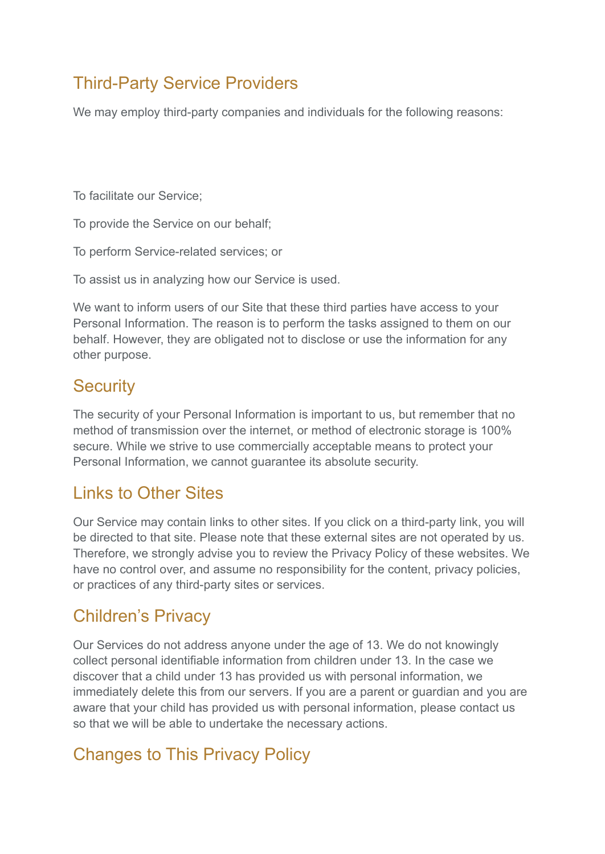# Third-Party Service Providers

We may employ third-party companies and individuals for the following reasons:

To facilitate our Service;

To provide the Service on our behalf;

To perform Service-related services; or

To assist us in analyzing how our Service is used.

We want to inform users of our Site that these third parties have access to your Personal Information. The reason is to perform the tasks assigned to them on our behalf. However, they are obligated not to disclose or use the information for any other purpose.

### **Security**

The security of your Personal Information is important to us, but remember that no method of transmission over the internet, or method of electronic storage is 100% secure. While we strive to use commercially acceptable means to protect your Personal Information, we cannot guarantee its absolute security.

## Links to Other Sites

Our Service may contain links to other sites. If you click on a third-party link, you will be directed to that site. Please note that these external sites are not operated by us. Therefore, we strongly advise you to review the Privacy Policy of these websites. We have no control over, and assume no responsibility for the content, privacy policies, or practices of any third-party sites or services.

#### Children's Privacy

Our Services do not address anyone under the age of 13. We do not knowingly collect personal identifiable information from children under 13. In the case we discover that a child under 13 has provided us with personal information, we immediately delete this from our servers. If you are a parent or guardian and you are aware that your child has provided us with personal information, please contact us so that we will be able to undertake the necessary actions.

## Changes to This Privacy Policy